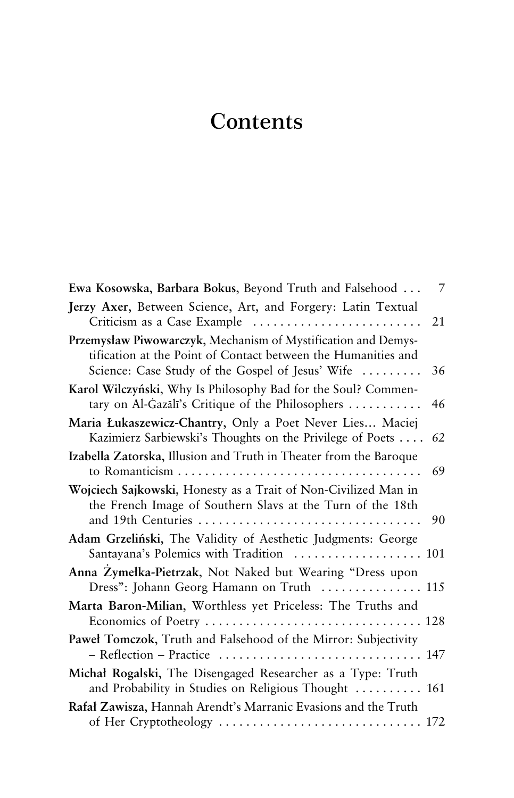## **Contents**

| Ewa Kosowska, Barbara Bokus, Beyond Truth and Falsehood                                                                                                                            | 7  |
|------------------------------------------------------------------------------------------------------------------------------------------------------------------------------------|----|
| Jerzy Axer, Between Science, Art, and Forgery: Latin Textual<br>Criticism as a Case Example                                                                                        | 21 |
| Przemysław Piwowarczyk, Mechanism of Mystification and Demys-<br>tification at the Point of Contact between the Humanities and<br>Science: Case Study of the Gospel of Jesus' Wife | 36 |
| Karol Wilczyński, Why Is Philosophy Bad for the Soul? Commen-<br>tary on Al-Gazali's Critique of the Philosophers                                                                  | 46 |
| Maria Łukaszewicz-Chantry, Only a Poet Never Lies Maciej<br>Kazimierz Sarbiewski's Thoughts on the Privilege of Poets                                                              | 62 |
| Izabella Zatorska, Illusion and Truth in Theater from the Baroque                                                                                                                  | 69 |
| Wojciech Sajkowski, Honesty as a Trait of Non-Civilized Man in<br>the French Image of Southern Slavs at the Turn of the 18th<br>and 19th Centuries                                 | 90 |
| Adam Grzeliński, The Validity of Aesthetic Judgments: George<br>Santayana's Polemics with Tradition  101                                                                           |    |
| Anna Zymełka-Pietrzak, Not Naked but Wearing "Dress upon<br>Dress": Johann Georg Hamann on Truth  115                                                                              |    |
| Marta Baron-Milian, Worthless yet Priceless: The Truths and                                                                                                                        |    |
| Paweł Tomczok, Truth and Falsehood of the Mirror: Subjectivity<br>- Reflection - Practice  147                                                                                     |    |
| Michał Rogalski, The Disengaged Researcher as a Type: Truth<br>and Probability in Studies on Religious Thought  161                                                                |    |
| Rafał Zawisza, Hannah Arendt's Marranic Evasions and the Truth<br>of Her Cryptotheology  172                                                                                       |    |